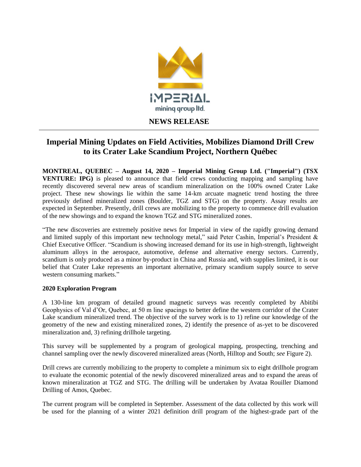

# **Imperial Mining Updates on Field Activities, Mobilizes Diamond Drill Crew to its Crater Lake Scandium Project, Northern Québec**

**MONTREAL, QUEBEC – August 14, 2020 – Imperial Mining Group Ltd. ("Imperial") (TSX VENTURE: IPG)** is pleased to announce that field crews conducting mapping and sampling have recently discovered several new areas of scandium mineralization on the 100% owned Crater Lake project. These new showings lie within the same 14-km arcuate magnetic trend hosting the three previously defined mineralized zones (Boulder, TGZ and STG) on the property. Assay results are expected in September. Presently, drill crews are mobilizing to the property to commence drill evaluation of the new showings and to expand the known TGZ and STG mineralized zones.

"The new discoveries are extremely positive news for Imperial in view of the rapidly growing demand and limited supply of this important new technology metal," said Peter Cashin, Imperial's President & Chief Executive Officer. "Scandium is showing increased demand for its use in high-strength, lightweight aluminum alloys in the aerospace, automotive, defense and alternative energy sectors. Currently, scandium is only produced as a minor by-product in China and Russia and, with supplies limited, it is our belief that Crater Lake represents an important alternative, primary scandium supply source to serve western consuming markets."

## **2020 Exploration Program**

A 130-line km program of detailed ground magnetic surveys was recently completed by Abitibi Geophysics of Val d'Or, Quebec, at 50 m line spacings to better define the western corridor of the Crater Lake scandium mineralized trend. The objective of the survey work is to 1) refine our knowledge of the geometry of the new and existing mineralized zones, 2) identify the presence of as-yet to be discovered mineralization and, 3) refining drillhole targeting.

This survey will be supplemented by a program of geological mapping, prospecting, trenching and channel sampling over the newly discovered mineralized areas (North, Hilltop and South; *see* Figure 2).

Drill crews are currently mobilizing to the property to complete a minimum six to eight drillhole program to evaluate the economic potential of the newly discovered mineralized areas and to expand the areas of known mineralization at TGZ and STG. The drilling will be undertaken by Avataa Rouiller Diamond Drilling of Amos, Quebec.

The current program will be completed in September. Assessment of the data collected by this work will be used for the planning of a winter 2021 definition drill program of the highest-grade part of the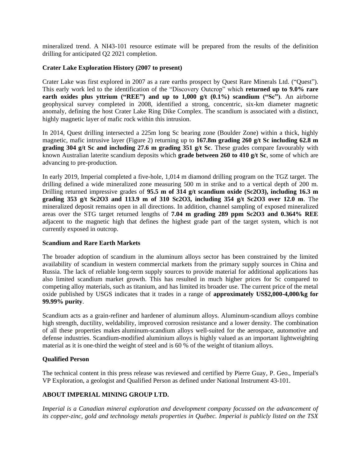mineralized trend. A NI43-101 resource estimate will be prepared from the results of the definition drilling for anticipated Q2 2021 completion.

#### **Crater Lake Exploration History (2007 to present)**

Crater Lake was first explored in 2007 as a rare earths prospect by Quest Rare Minerals Ltd. ("Quest"). This early work led to the identification of the "Discovery Outcrop" which **returned up to 9.0% rare earth oxides plus yttrium ("REE") and up to 1,000 g/t (0.1%) scandium ("Sc")**. An airborne geophysical survey completed in 2008, identified a strong, concentric, six-km diameter magnetic anomaly, defining the host Crater Lake Ring Dike Complex. The scandium is associated with a distinct, highly magnetic layer of mafic rock within this intrusion.

In 2014, Quest drilling intersected a 225m long Sc bearing zone (Boulder Zone) within a thick, highly magnetic, mafic intrusive layer (Figure 2) returning up to **167.8m grading 260 g/t Sc including 62.8 m grading 304 g/t Sc and including 27.6 m grading 351 g/t Sc**. These grades compare favourably with known Australian laterite scandium deposits which **grade between 260 to 410 g/t Sc**, some of which are advancing to pre-production.

In early 2019, Imperial completed a five-hole, 1,014 m diamond drilling program on the TGZ target. The drilling defined a wide mineralized zone measuring 500 m in strike and to a vertical depth of 200 m. Drilling returned impressive grades of **95.5 m of 314 g/t scandium oxide (Sc2O3), including 16.3 m grading 353 g/t Sc2O3 and 113.9 m of 310 Sc2O3, including 354 g/t Sc2O3 over 12.0 m**. The mineralized deposit remains open in all directions. In addition, channel sampling of exposed mineralized areas over the STG target returned lengths of **7.04 m grading 289 ppm Sc2O3 and 0.364% REE** adjacent to the magnetic high that defines the highest grade part of the target system, which is not currently exposed in outcrop.

## **Scandium and Rare Earth Markets**

The broader adoption of scandium in the aluminum alloys sector has been constrained by the limited availability of scandium in western commercial markets from the primary supply sources in China and Russia. The lack of reliable long-term supply sources to provide material for additional applications has also limited scandium market growth. This has resulted in much higher prices for Sc compared to competing alloy materials, such as titanium, and has limited its broader use. The current price of the metal oxide published by USGS indicates that it trades in a range of **approximately US\$2,000-4,000/kg for 99.99% purity**.

Scandium acts as a grain-refiner and hardener of aluminum alloys. Aluminum-scandium alloys combine high strength, ductility, weldability, improved corrosion resistance and a lower density. The combination of all these properties makes aluminum-scandium alloys well-suited for the aerospace, automotive and defense industries. Scandium-modified aluminium alloys is highly valued as an important lightweighting material as it is one-third the weight of steel and is 60 % of the weight of titanium alloys.

## **Qualified Person**

The technical content in this press release was reviewed and certified by Pierre Guay, P. Geo., Imperial's VP Exploration, a geologist and Qualified Person as defined under National Instrument 43-101.

# **ABOUT IMPERIAL MINING GROUP LTD.**

*Imperial is a Canadian mineral exploration and development company focussed on the advancement of its copper-zinc, gold and technology metals properties in Québec. Imperial is publicly listed on the TSX*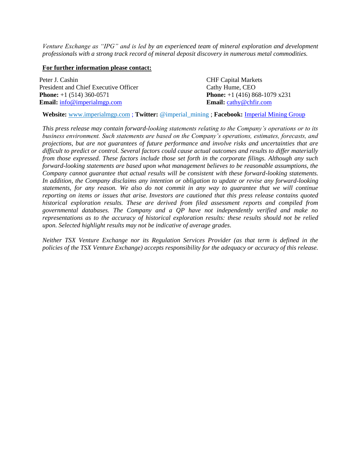*Venture Exchange as "IPG" and is led by an experienced team of mineral exploration and development professionals with a strong track record of mineral deposit discovery in numerous metal commodities.*

#### **For further information please contact:**

Peter J. Cashin President and Chief Executive Officer **Phone:** +1 (514) 360-0571 **Email:** [info@imperialmgp.com](mailto:info@imperialmgp.com)

CHF Capital Markets Cathy Hume, CEO **Phone:** +1 (416) 868-1079 x231 **Email:** [cathy@chfir.com](mailto:cathy@chfir.com)

**Website:** [www.imperialmgp.com](http://www.imperialmgp.com/) ; **Twitter:** @imperial\_mining ; **Facebook:** [Imperial Mining Group](https://www.facebook.com/Imperial-Mining-Group-123912795667445/)

*This press release may contain forward-looking statements relating to the Company's operations or to its business environment. Such statements are based on the Company's operations, estimates, forecasts, and projections, but are not guarantees of future performance and involve risks and uncertainties that are difficult to predict or control. Several factors could cause actual outcomes and results to differ materially from those expressed. These factors include those set forth in the corporate filings. Although any such forward-looking statements are based upon what management believes to be reasonable assumptions, the Company cannot guarantee that actual results will be consistent with these forward-looking statements. In addition, the Company disclaims any intention or obligation to update or revise any forward-looking statements, for any reason. We also do not commit in any way to guarantee that we will continue reporting on items or issues that arise. Investors are cautioned that this press release contains quoted historical exploration results. These are derived from filed assessment reports and compiled from governmental databases. The Company and a QP have not independently verified and make no representations as to the accuracy of historical exploration results: these results should not be relied upon. Selected highlight results may not be indicative of average grades.*

*Neither TSX Venture Exchange nor its Regulation Services Provider (as that term is defined in the policies of the TSX Venture Exchange) accepts responsibility for the adequacy or accuracy of this release.*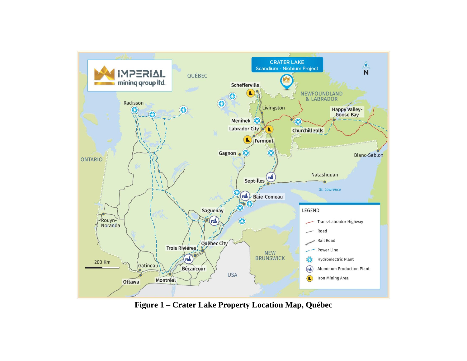

**Figure 1 – Crater Lake Property Location Map, Québec**